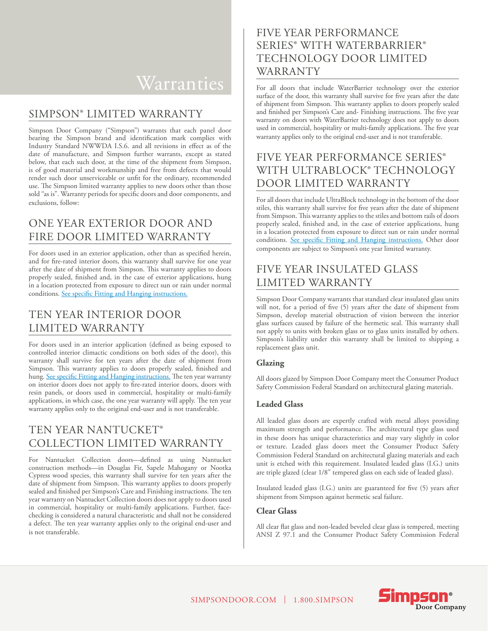# Warranties

### SIMPSON® LIMITED WARRANTY

Simpson Door Company ("Simpson") warrants that each panel door bearing the Simpson brand and identification mark complies with Industry Standard NWWDA I.S.6. and all revisions in effect as of the date of manufacture, and Simpson further warrants, except as stated below, that each such door, at the time of the shipment from Simpson, is of good material and workmanship and free from defects that would render such door unserviceable or unfit for the ordinary, recommended use. The Simpson limited warranty applies to new doors other than those sold "as is". Warranty periods for specific doors and door components, and exclusions, follow:

### ONE YEAR EXTERIOR DOOR AND FIRE DOOR LIMITED WARRANTY

For doors used in an exterior application, other than as specified herein, and for fire-rated interior doors, this warranty shall survive for one year after the date of shipment from Simpson. This warranty applies to doors properly sealed, finished and, in the case of exterior applications, hung in a location protected from exposure to direct sun or rain under normal conditions. See specific Fitting and Hanging instructions.

### TEN YEAR INTERIOR DOOR LIMITED WARRANTY

For doors used in an interior application (defined as being exposed to controlled interior climactic conditions on both sides of the door), this warranty shall survive for ten years after the date of shipment from Simpson. This warranty applies to doors properly sealed, finished and hung. See specific Fitting and Hanging instructions. The ten year warranty on interior doors does not apply to fire-rated interior doors, doors with resin panels, or doors used in commercial, hospitality or multi-family applications, in which case, the one year warranty will apply. The ten year warranty applies only to the original end-user and is not transferable.

# TEN YEAR NANTUCKET® COLLECTION LIMITED WARRANTY

For Nantucket Collection doors—defined as using Nantucket construction methods—in Douglas Fir, Sapele Mahogany or Nootka Cypress wood species, this warranty shall survive for ten years after the date of shipment from Simpson. This warranty applies to doors properly sealed and finished per Simpson's Care and Finishing instructions. The ten year warranty on Nantucket Collection doors does not apply to doors used in commercial, hospitality or multi-family applications. Further, facechecking is considered a natural characteristic and shall not be considered a defect. The ten year warranty applies only to the original end-user and is not transferable.

### FIVE YEAR PERFORMANCE SERIES® WITH WATERBARRIER® TECHNOLOGY DOOR LIMITED WARRANTY

For all doors that include WaterBarrier technology over the exterior surface of the door, this warranty shall survive for five years after the date of shipment from Simpson. This warranty applies to doors properly sealed and finished per Simpson's Care and- Finishing instructions. The five year warranty on doors with WaterBarrier technology does not apply to doors used in commercial, hospitality or multi-family applications. The five year warranty applies only to the original end-user and is not transferable.

### FIVE YEAR PERFORMANCE SERIES® WITH ULTRABLOCK® TECHNOLOGY DOOR LIMITED WARRANTY

For all doors that include UltraBlock technology in the bottom of the door stiles, this warranty shall survive for five years after the date of shipment from Simpson. This warranty applies to the stiles and bottom rails of doors properly sealed, finished and, in the case of exterior applications, hung in a location protected from exposure to direct sun or rain under normal conditions. See specific Fitting and Hanging instructions. Other door components are subject to Simpson's one year limited warranty.

## FIVE YEAR INSULATED GLASS LIMITED WARRANTY

Simpson Door Company warrants that standard clear insulated glass units will not, for a period of five (5) years after the date of shipment from Simpson, develop material obstruction of vision between the interior glass surfaces caused by failure of the hermetic seal. This warranty shall not apply to units with broken glass or to glass units installed by others. Simpson's liability under this warranty shall be limited to shipping a replacement glass unit.

#### **Glazing**

All doors glazed by Simpson Door Company meet the Consumer Product Safety Commission Federal Standard on architectural glazing materials.

#### **Leaded Glass**

All leaded glass doors are expertly crafted with metal alloys providing maximum strength and performance. The architectural type glass used in these doors has unique characteristics and may vary slightly in color or texture. Leaded glass doors meet the Consumer Product Safety Commission Federal Standard on architectural glazing materials and each unit is etched with this requirement. Insulated leaded glass (I.G.) units are triple glazed (clear 1/8" tempered glass on each side of leaded glass).

Insulated leaded glass (I.G.) units are guaranteed for five (5) years after shipment from Simpson against hermetic seal failure.

#### **Clear Glass**

All clear flat glass and non-leaded beveled clear glass is tempered, meeting ANSI Z 97.1 and the Consumer Product Safety Commission Federal